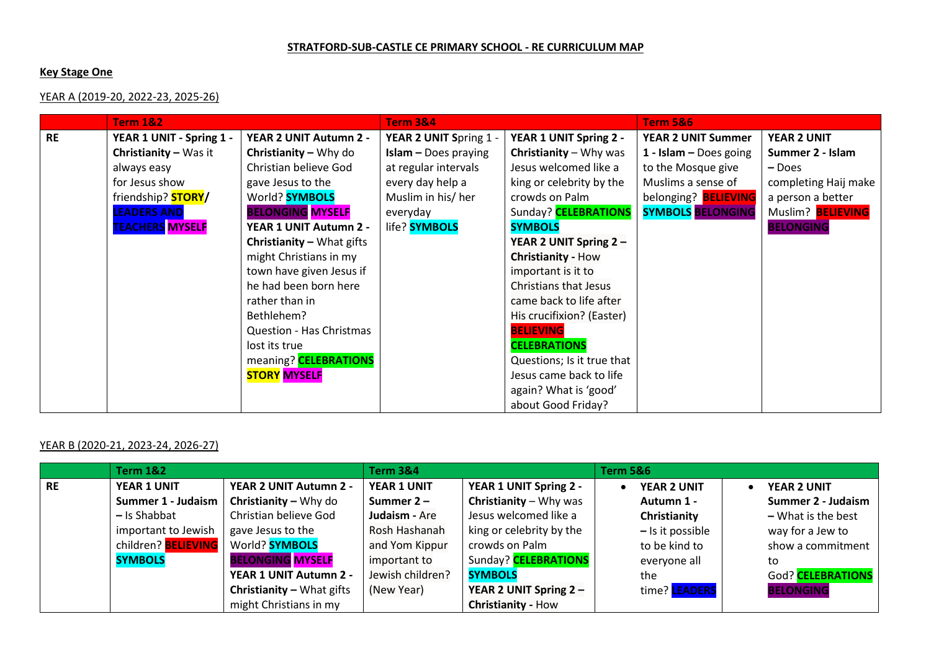#### **STRATFORD-SUB-CASTLE CE PRIMARY SCHOOL - RE CURRICULUM MAP**

## **Key Stage One**

## YEAR A (2019-20, 2022-23, 2025-26)

|           | <b>Term 1&amp;2</b>       |                                  | <b>Term 3&amp;4</b>         |                            | <b>Term 5&amp;6</b>         |                      |  |
|-----------|---------------------------|----------------------------------|-----------------------------|----------------------------|-----------------------------|----------------------|--|
| <b>RE</b> | YEAR 1 UNIT - Spring 1 -  | YEAR 2 UNIT Autumn 2 -           | YEAR 2 UNIT Spring 1 -      | YEAR 1 UNIT Spring 2 -     | <b>YEAR 2 UNIT Summer</b>   | <b>YEAR 2 UNIT</b>   |  |
|           | Christianity - Was it     | <b>Christianity - Why do</b>     | <b>Islam - Does praying</b> | Christianity - Why was     | 1 - Islam $-$ Does going    | Summer 2 - Islam     |  |
|           | always easy               | Christian believe God            | at regular intervals        | Jesus welcomed like a      | to the Mosque give          | - Does               |  |
|           | for Jesus show            | gave Jesus to the                | every day help a            | king or celebrity by the   | Muslims a sense of          | completing Haij make |  |
|           | friendship? <b>STORY/</b> | World? <b>SYMBOLS</b>            | Muslim in his/ her          | crowds on Palm             | belonging? <b>BELIEVING</b> | a person a better    |  |
|           | <b>LEADERS AND</b>        | <b>BELONGING MYSELF</b>          | everyday                    | Sunday? CELEBRATIONS       | <b>SYMBOLS BELONGING</b>    | Muslim? BELIEVING    |  |
|           | <b>TEACHERS MYSELF</b>    | YEAR 1 UNIT Autumn 2 -           | life? <b>SYMBOLS</b>        | <b>SYMBOLS</b>             |                             | <b>BELONGING</b>     |  |
|           |                           | <b>Christianity - What gifts</b> |                             | YEAR 2 UNIT Spring 2 -     |                             |                      |  |
|           |                           | might Christians in my           |                             | Christianity - How         |                             |                      |  |
|           |                           | town have given Jesus if         |                             | important is it to         |                             |                      |  |
|           |                           | he had been born here            |                             | Christians that Jesus      |                             |                      |  |
|           |                           | rather than in                   |                             | came back to life after    |                             |                      |  |
|           |                           | Bethlehem?                       |                             | His crucifixion? (Easter)  |                             |                      |  |
|           |                           | <b>Question - Has Christmas</b>  |                             | <b>BELIEVING</b>           |                             |                      |  |
|           |                           | lost its true                    |                             | <b>CELEBRATIONS</b>        |                             |                      |  |
|           |                           | meaning? CELEBRATIONS            |                             | Questions; Is it true that |                             |                      |  |
|           |                           | <b>STORY MYSELF</b>              |                             | Jesus came back to life    |                             |                      |  |
|           |                           |                                  |                             | again? What is 'good'      |                             |                      |  |
|           |                           |                                  |                             | about Good Friday?         |                             |                      |  |

# YEAR B (2020-21, 2023-24, 2026-27)

|           | <b>Term 1&amp;2</b>        |                                  | <b>Term 3&amp;4</b> |                               | <b>Term 5&amp;6</b>  |                      |
|-----------|----------------------------|----------------------------------|---------------------|-------------------------------|----------------------|----------------------|
| <b>RE</b> | <b>YEAR 1 UNIT</b>         | YEAR 2 UNIT Autumn 2 -           | YEAR 1 UNIT         | YEAR 1 UNIT Spring 2 -        | <b>YEAR 2 UNIT</b>   | <b>YEAR 2 UNIT</b>   |
|           | Summer 1 - Judaism         | <b>Christianity - Why do</b>     | Summer $2 -$        | <b>Christianity</b> – Why was | Autumn 1 -           | Summer 2 - Judaism   |
|           | - Is Shabbat               | Christian believe God            | Judaism - Are       | Jesus welcomed like a         | Christianity         | $-$ What is the best |
|           | important to Jewish        | gave Jesus to the                | Rosh Hashanah       | king or celebrity by the      | $-$ Is it possible   | way for a Jew to     |
|           | children? <b>BELIEVING</b> | World? <b>SYMBOLS</b>            | and Yom Kippur      | crowds on Palm                | to be kind to        | show a commitment    |
|           | <b>SYMBOLS</b>             | <b>BELONGING MYSELF</b>          | important to        | Sunday? CELEBRATIONS          | everyone all         | to                   |
|           |                            | YEAR 1 UNIT Autumn 2 -           | Jewish children?    | <b>SYMBOLS</b>                | the                  | God? CELEBRATIONS    |
|           |                            | <b>Christianity - What gifts</b> | (New Year)          | YEAR 2 UNIT Spring 2 -        | time? <b>LEADERS</b> | <b>BELONGING</b>     |
|           |                            | might Christians in my           |                     | <b>Christianity - How</b>     |                      |                      |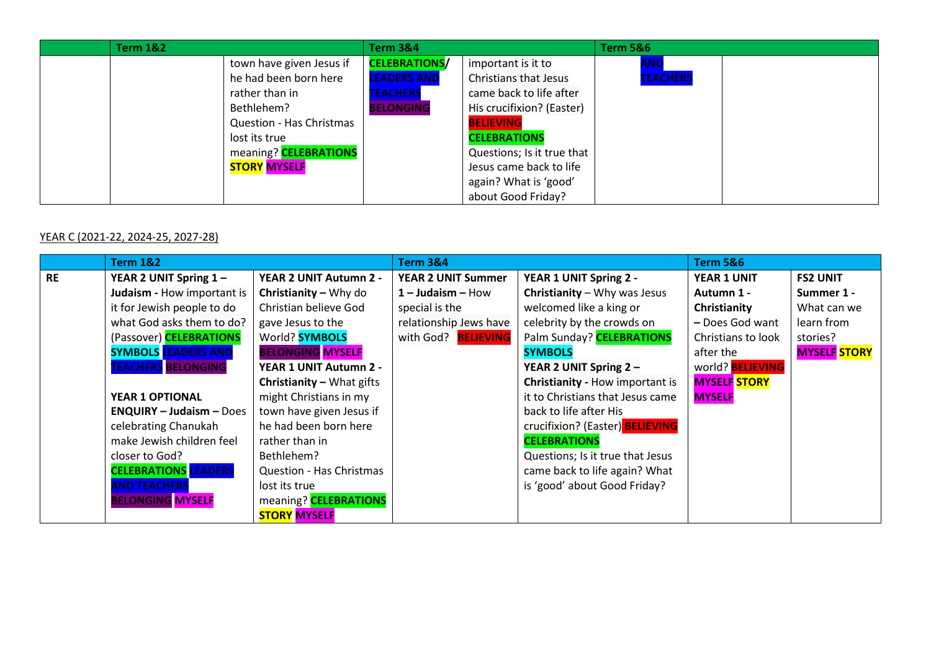| <b>Term 1&amp;2</b> |                                 | <b>Term 3&amp;4</b>  |                              | <b>Term 5&amp;6</b> |  |
|---------------------|---------------------------------|----------------------|------------------------------|---------------------|--|
|                     | town have given Jesus if        | <b>CELEBRATIONS/</b> | important is it to           | AND                 |  |
|                     | he had been born here           | <b>LEADERS AND</b>   | <b>Christians that Jesus</b> | <b>TEACHERS</b>     |  |
|                     | rather than in                  | <b>TEACHERS</b>      | came back to life after      |                     |  |
|                     | Bethlehem?                      | <b>BELONGING</b>     | His crucifixion? (Easter)    |                     |  |
|                     | <b>Question - Has Christmas</b> |                      | <b>BELIEVING</b>             |                     |  |
|                     | lost its true                   |                      | <b>CELEBRATIONS</b>          |                     |  |
|                     | meaning? <b>CELEBRATIONS</b>    |                      | Questions; Is it true that   |                     |  |
|                     | <b>STORY MYSELF</b>             |                      | Jesus came back to life      |                     |  |
|                     |                                 |                      | again? What is 'good'        |                     |  |
|                     |                                 |                      | about Good Friday?           |                     |  |

# YEAR C (2021-22, 2024-25, 2027-28)

|           | <b>Term 1&amp;2</b>         |                                  | <b>Term 3&amp;4</b>       |                                       | <b>Term 5&amp;6</b>     |                     |  |
|-----------|-----------------------------|----------------------------------|---------------------------|---------------------------------------|-------------------------|---------------------|--|
| <b>RE</b> | YEAR 2 UNIT Spring 1-       | YEAR 2 UNIT Autumn 2 -           | <b>YEAR 2 UNIT Summer</b> | YEAR 1 UNIT Spring 2 -                | <b>YEAR 1 UNIT</b>      | <b>FS2 UNIT</b>     |  |
|           | Judaism - How important is  | Christianity - Why do            | $1 -$ Judaism $-$ How     | <b>Christianity</b> $-W$ hy was Jesus | Autumn 1 -              | Summer 1 -          |  |
|           | it for Jewish people to do  | Christian believe God            | special is the            | welcomed like a king or               | Christianity            | What can we         |  |
|           | what God asks them to do?   | gave Jesus to the                | relationship Jews have    | celebrity by the crowds on            | - Does God want         | learn from          |  |
|           | (Passover) CELEBRATIONS     | World? <b>SYMBOLS</b>            | with God? BELIEVING       | Palm Sunday? CELEBRATIONS             | Christians to look      | stories?            |  |
|           | <b>SYMBOLS LEADERS AND</b>  | <b>BELONGING MYSELF</b>          |                           | <b>SYMBOLS</b>                        | after the               | <b>MYSELF STORY</b> |  |
|           | <b>TEACHERS BELONGING</b>   | YEAR 1 UNIT Autumn 2 -           |                           | YEAR 2 UNIT Spring 2 -                | world? <b>BELIEVING</b> |                     |  |
|           |                             | <b>Christianity - What gifts</b> |                           | Christianity - How important is       | <b>MYSELF STORY</b>     |                     |  |
|           | <b>YEAR 1 OPTIONAL</b>      | might Christians in my           |                           | it to Christians that Jesus came      | <b>MYSELF</b>           |                     |  |
|           | $ENQUIRY - Judaism - Does$  | town have given Jesus if         |                           | back to life after His                |                         |                     |  |
|           | celebrating Chanukah        | he had been born here            |                           | crucifixion? (Easter) BELIEVING       |                         |                     |  |
|           | make Jewish children feel   | rather than in                   |                           | <b>CELEBRATIONS</b>                   |                         |                     |  |
|           | closer to God?              | Bethlehem?                       |                           | Questions; Is it true that Jesus      |                         |                     |  |
|           | <b>CELEBRATIONS LEADERS</b> | Question - Has Christmas         |                           | came back to life again? What         |                         |                     |  |
|           | <b>AND TEACHERS</b>         | lost its true                    |                           | is 'good' about Good Friday?          |                         |                     |  |
|           | <b>BELONGING MYSELF</b>     | meaning? <b>CELEBRATIONS</b>     |                           |                                       |                         |                     |  |
|           |                             | <b>STORY MYSELF</b>              |                           |                                       |                         |                     |  |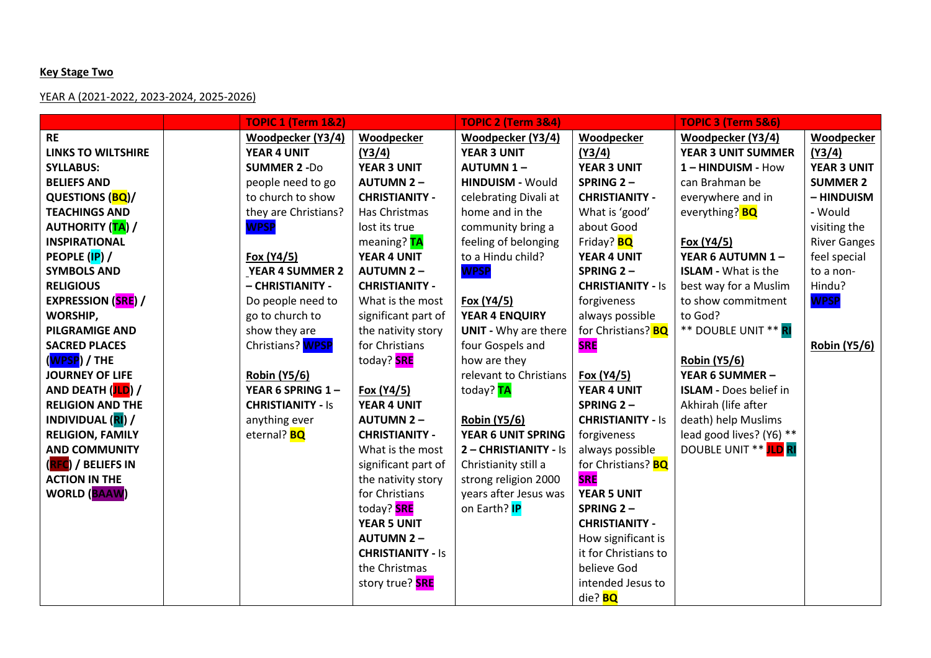#### **Key Stage Two**

## YEAR A (2021-2022, 2023-2024, 2025-2026)

|                             | <b>TOPIC 1 (Term 1&amp;2)</b> |                          | <b>TOPIC 2 (Term 3&amp;4)</b> |                           | <b>TOPIC 3 (Term 5&amp;6)</b> |                     |
|-----------------------------|-------------------------------|--------------------------|-------------------------------|---------------------------|-------------------------------|---------------------|
| <b>RE</b>                   | Woodpecker (Y3/4)             | <b>Woodpecker</b>        | Woodpecker (Y3/4)             | Woodpecker                | Woodpecker (Y3/4)             | Woodpecker          |
| <b>LINKS TO WILTSHIRE</b>   | YEAR 4 UNIT                   | (Y3/4)                   | <b>YEAR 3 UNIT</b>            | (Y3/4)                    | <b>YEAR 3 UNIT SUMMER</b>     | (Y3/4)              |
| <b>SYLLABUS:</b>            | <b>SUMMER 2 -Do</b>           | <b>YEAR 3 UNIT</b>       | <b>AUTUMN 1-</b>              | <b>YEAR 3 UNIT</b>        | 1-HINDUISM - How              | <b>YEAR 3 UNIT</b>  |
| <b>BELIEFS AND</b>          | people need to go             | <b>AUTUMN 2-</b>         | <b>HINDUISM - Would</b>       | SPRING 2-                 | can Brahman be                | <b>SUMMER 2</b>     |
| QUESTIONS (BQ)/             | to church to show             | <b>CHRISTIANITY -</b>    | celebrating Divali at         | <b>CHRISTIANITY -</b>     | everywhere and in             | - HINDUISM          |
| <b>TEACHINGS AND</b>        | they are Christians?          | Has Christmas            | home and in the               | What is 'good'            | everything? BQ                | - Would             |
| <b>AUTHORITY</b> (TA) /     | <b>WPSP</b>                   | lost its true            | community bring a             | about Good                |                               | visiting the        |
| <b>INSPIRATIONAL</b>        |                               | meaning? TA              | feeling of belonging          | Friday? <b>BQ</b>         | Fox (Y4/5)                    | <b>River Ganges</b> |
| PEOPLE (IP) /               | Fox (Y4/5)                    | YEAR 4 UNIT              | to a Hindu child?             | YEAR 4 UNIT               | YEAR 6 AUTUMN 1-              | feel special        |
| <b>SYMBOLS AND</b>          | <b>YEAR 4 SUMMER 2</b>        | <b>AUTUMN 2-</b>         | <b>WPSP</b>                   | SPRING 2-                 | <b>ISLAM - What is the</b>    | to a non-           |
| <b>RELIGIOUS</b>            | - CHRISTIANITY -              | <b>CHRISTIANITY -</b>    |                               | <b>CHRISTIANITY - Is</b>  | best way for a Muslim         | Hindu?              |
| <b>EXPRESSION (SRE) /</b>   | Do people need to             | What is the most         | Fox (Y4/5)                    | forgiveness               | to show commitment            | <b>WPSP</b>         |
| WORSHIP,                    | go to church to               | significant part of      | YEAR 4 ENQUIRY                | always possible           | to God?                       |                     |
| <b>PILGRAMIGE AND</b>       | show they are                 | the nativity story       | <b>UNIT - Why are there</b>   | for Christians? <b>BQ</b> | ** DOUBLE UNIT ** RI          |                     |
| <b>SACRED PLACES</b>        | Christians? WPSP              | for Christians           | four Gospels and              | <b>SRE</b>                |                               | <b>Robin (Y5/6)</b> |
| ( <mark>WPSP</mark> ) / THE |                               | today? <b>SRE</b>        | how are they                  |                           | <b>Robin (Y5/6)</b>           |                     |
| <b>JOURNEY OF LIFE</b>      | <b>Robin (Y5/6)</b>           |                          | relevant to Christians        | Fox (Y4/5)                | YEAR 6 SUMMER -               |                     |
| AND DEATH (JLD) /           | YEAR 6 SPRING 1-              | Fox (Y4/5)               | today? TA                     | <b>YEAR 4 UNIT</b>        | <b>ISLAM - Does belief in</b> |                     |
| <b>RELIGION AND THE</b>     | <b>CHRISTIANITY - Is</b>      | YEAR 4 UNIT              |                               | SPRING 2-                 | Akhirah (life after           |                     |
| INDIVIDUAL (RI) /           | anything ever                 | <b>AUTUMN 2-</b>         | <b>Robin (Y5/6)</b>           | <b>CHRISTIANITY - Is</b>  | death) help Muslims           |                     |
| <b>RELIGION, FAMILY</b>     | eternal? <b>BQ</b>            | <b>CHRISTIANITY -</b>    | YEAR 6 UNIT SPRING            | forgiveness               | lead good lives? (Y6) **      |                     |
| <b>AND COMMUNITY</b>        |                               | What is the most         | 2 - CHRISTIANITY - Is         | always possible           | DOUBLE UNIT ** ILD RI         |                     |
| (RFC) / BELIEFS IN          |                               | significant part of      | Christianity still a          | for Christians? <b>BQ</b> |                               |                     |
| <b>ACTION IN THE</b>        |                               | the nativity story       | strong religion 2000          | <b>SRE</b>                |                               |                     |
| <b>WORLD (BAAW)</b>         |                               | for Christians           | years after Jesus was         | <b>YEAR 5 UNIT</b>        |                               |                     |
|                             |                               | today? <b>SRE</b>        | on Earth? <b>IP</b>           | SPRING 2-                 |                               |                     |
|                             |                               | <b>YEAR 5 UNIT</b>       |                               | <b>CHRISTIANITY -</b>     |                               |                     |
|                             |                               | <b>AUTUMN 2-</b>         |                               | How significant is        |                               |                     |
|                             |                               | <b>CHRISTIANITY - Is</b> |                               | it for Christians to      |                               |                     |
|                             |                               | the Christmas            |                               | believe God               |                               |                     |
|                             |                               | story true? <b>SRE</b>   |                               | intended Jesus to         |                               |                     |
|                             |                               |                          |                               | die? <b>BQ</b>            |                               |                     |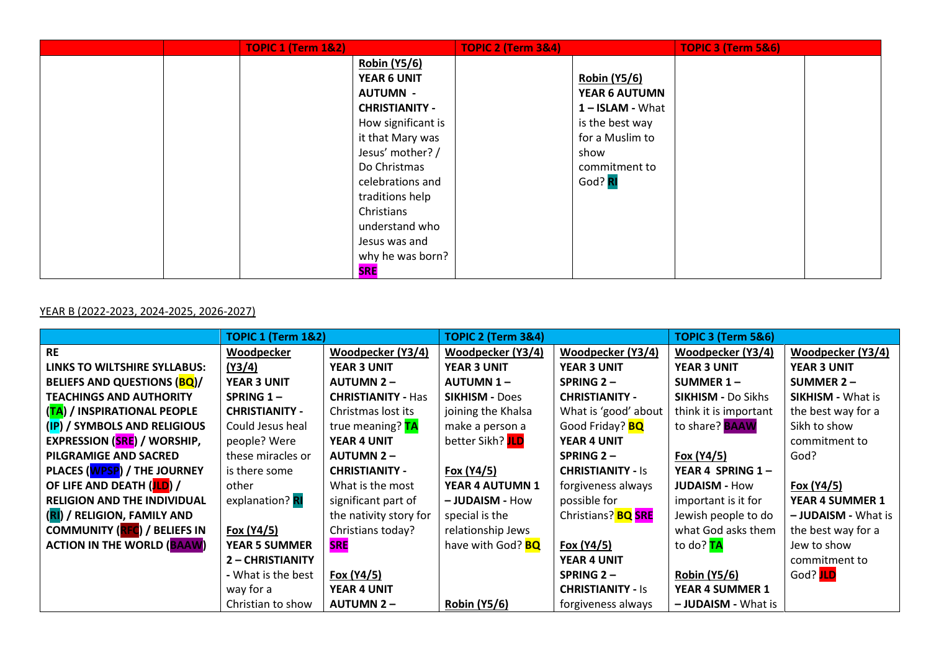|  | <b>TOPIC 1 (Term 1&amp;2)</b> |                       | <b>TOPIC 2 (Term 3&amp;4)</b> |                     | <b>TOPIC 3 (Term 5&amp;6)</b> |  |
|--|-------------------------------|-----------------------|-------------------------------|---------------------|-------------------------------|--|
|  |                               | <b>Robin (Y5/6)</b>   |                               |                     |                               |  |
|  |                               | YEAR 6 UNIT           |                               | <b>Robin (Y5/6)</b> |                               |  |
|  |                               | <b>AUTUMN -</b>       |                               | YEAR 6 AUTUMN       |                               |  |
|  |                               | <b>CHRISTIANITY -</b> |                               | 1-ISLAM - What      |                               |  |
|  |                               | How significant is    |                               | is the best way     |                               |  |
|  |                               | it that Mary was      |                               | for a Muslim to     |                               |  |
|  |                               | Jesus' mother? /      |                               | show                |                               |  |
|  |                               | Do Christmas          |                               | commitment to       |                               |  |
|  |                               | celebrations and      |                               | God? RI             |                               |  |
|  |                               | traditions help       |                               |                     |                               |  |
|  |                               | Christians            |                               |                     |                               |  |
|  |                               | understand who        |                               |                     |                               |  |
|  |                               | Jesus was and         |                               |                     |                               |  |
|  |                               | why he was born?      |                               |                     |                               |  |
|  |                               | <b>SRE</b>            |                               |                     |                               |  |

# YEAR B (2022-2023, 2024-2025, 2026-2027)

|                                     | <b>TOPIC 1 (Term 1&amp;2)</b> |                           | <b>TOPIC 2 (Term 3&amp;4)</b> |                           | TOPIC 3 (Term 5&6)        |                            |
|-------------------------------------|-------------------------------|---------------------------|-------------------------------|---------------------------|---------------------------|----------------------------|
| <b>RE</b>                           | Woodpecker                    | Woodpecker (Y3/4)         | Woodpecker (Y3/4)             | Woodpecker (Y3/4)         | Woodpecker (Y3/4)         | Woodpecker (Y3/4)          |
| LINKS TO WILTSHIRE SYLLABUS:        | (Y3/4)                        | <b>YEAR 3 UNIT</b>        | <b>YEAR 3 UNIT</b>            | <b>YEAR 3 UNIT</b>        | <b>YEAR 3 UNIT</b>        | <b>YEAR 3 UNIT</b>         |
| <b>BELIEFS AND QUESTIONS (BQ)/</b>  | <b>YEAR 3 UNIT</b>            | <b>AUTUMN 2-</b>          | <b>AUTUMN 1-</b>              | SPRING $2-$               | SUMMER $1 -$              | SUMMER $2 -$               |
| <b>TEACHINGS AND AUTHORITY</b>      | SPRING 1-                     | <b>CHRISTIANITY - Has</b> | <b>SIKHISM - Does</b>         | <b>CHRISTIANITY -</b>     | <b>SIKHISM - Do Sikhs</b> | <b>SIKHISM - What is</b>   |
| (TA) / INSPIRATIONAL PEOPLE         | <b>CHRISTIANITY -</b>         | Christmas lost its        | joining the Khalsa            | What is 'good' about      | think it is important     | the best way for a         |
| (IP) / SYMBOLS AND RELIGIOUS        | Could Jesus heal              | true meaning? TA          | make a person a               | Good Friday? <b>BQ</b>    | to share? <b>BAAW</b>     | Sikh to show               |
| <b>EXPRESSION (SRE) / WORSHIP,</b>  | people? Were                  | YEAR 4 UNIT               | better Sikh? JLD              | YEAR 4 UNIT               |                           | commitment to              |
| PILGRAMIGE AND SACRED               | these miracles or             | <b>AUTUMN 2-</b>          |                               | SPRING $2-$               | Fox (Y4/5)                | God?                       |
| PLACES (WPSP) / THE JOURNEY         | is there some                 | <b>CHRISTIANITY -</b>     | Fox (Y4/5)                    | <b>CHRISTIANITY - Is</b>  | YEAR 4 SPRING $1 -$       |                            |
| OF LIFE AND DEATH (JLD) /           | other                         | What is the most          | YEAR 4 AUTUMN 1               | forgiveness always        | <b>JUDAISM - How</b>      | Fox (Y4/5)                 |
| <b>RELIGION AND THE INDIVIDUAL</b>  | explanation? RI               | significant part of       | - JUDAISM - How               | possible for              | important is it for       | YEAR 4 SUMMER 1            |
| (RI) / RELIGION, FAMILY AND         |                               | the nativity story for    | special is the                | Christians? <b>BQ SRE</b> | Jewish people to do       | - <b>JUDAISM</b> - What is |
| <b>COMMUNITY (RFC) / BELIEFS IN</b> | Fox (Y4/5)                    | Christians today?         | relationship Jews             |                           | what God asks them        | the best way for a         |
| <b>ACTION IN THE WORLD (BAAW)</b>   | <b>YEAR 5 SUMMER</b>          | <b>SRE</b>                | have with God? <b>BQ</b>      | Fox (Y4/5)                | to do? TA                 | Jew to show                |
|                                     | 2 - CHRISTIANITY              |                           |                               | YEAR 4 UNIT               |                           | commitment to              |
|                                     | - What is the best            | Fox (Y4/5)                |                               | SPRING 2-                 | <b>Robin (Y5/6)</b>       | God? JLD                   |
|                                     | way for a                     | YEAR 4 UNIT               |                               | <b>CHRISTIANITY - Is</b>  | <b>YEAR 4 SUMMER 1</b>    |                            |
|                                     | Christian to show             | <b>AUTUMN 2-</b>          | <b>Robin (Y5/6)</b>           | forgiveness always        | - JUDAISM - What is       |                            |